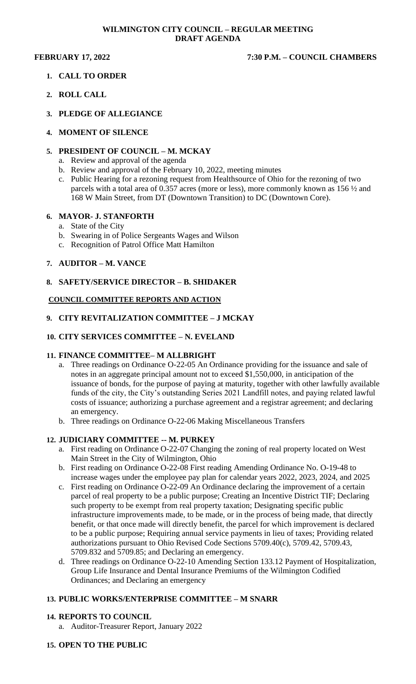#### **WILMINGTON CITY COUNCIL – REGULAR MEETING DRAFT AGENDA**

# **FEBRUARY 17, 2022 7:30 P.M. – COUNCIL CHAMBERS**

- **1. CALL TO ORDER**
- **2. ROLL CALL**
- **3. PLEDGE OF ALLEGIANCE**

### **4. MOMENT OF SILENCE**

## **5. PRESIDENT OF COUNCIL – M. MCKAY**

- a. Review and approval of the agenda
- b. Review and approval of the February 10, 2022, meeting minutes
- c. Public Hearing for a rezoning request from Healthsource of Ohio for the rezoning of two parcels with a total area of 0.357 acres (more or less), more commonly known as 156 ½ and 168 W Main Street, from DT (Downtown Transition) to DC (Downtown Core).

### **6. MAYOR- J. STANFORTH**

- a. State of the City
- b. Swearing in of Police Sergeants Wages and Wilson
- c. Recognition of Patrol Office Matt Hamilton

## **7. AUDITOR – M. VANCE**

### **8. SAFETY/SERVICE DIRECTOR – B. SHIDAKER**

### **COUNCIL COMMITTEE REPORTS AND ACTION**

### **9. CITY REVITALIZATION COMMITTEE – J MCKAY**

### **10. CITY SERVICES COMMITTEE – N. EVELAND**

### **11. FINANCE COMMITTEE– M ALLBRIGHT**

- a. Three readings on Ordinance O-22-05 An Ordinance providing for the issuance and sale of notes in an aggregate principal amount not to exceed \$1,550,000, in anticipation of the issuance of bonds, for the purpose of paying at maturity, together with other lawfully available funds of the city, the City's outstanding Series 2021 Landfill notes, and paying related lawful costs of issuance; authorizing a purchase agreement and a registrar agreement; and declaring an emergency.
- b. Three readings on Ordinance O-22-06 Making Miscellaneous Transfers

### **12. JUDICIARY COMMITTEE -- M. PURKEY**

- a. First reading on Ordinance O-22-07 Changing the zoning of real property located on West Main Street in the City of Wilmington, Ohio
- b. First reading on Ordinance O-22-08 First reading Amending Ordinance No. O-19-48 to increase wages under the employee pay plan for calendar years 2022, 2023, 2024, and 2025
- c. First reading on Ordinance O-22-09 An Ordinance declaring the improvement of a certain parcel of real property to be a public purpose; Creating an Incentive District TIF; Declaring such property to be exempt from real property taxation; Designating specific public infrastructure improvements made, to be made, or in the process of being made, that directly benefit, or that once made will directly benefit, the parcel for which improvement is declared to be a public purpose; Requiring annual service payments in lieu of taxes; Providing related authorizations pursuant to Ohio Revised Code Sections 5709.40(c), 5709.42, 5709.43, 5709.832 and 5709.85; and Declaring an emergency.
- d. Three readings on Ordinance O-22-10 Amending Section 133.12 Payment of Hospitalization, Group Life Insurance and Dental Insurance Premiums of the Wilmington Codified Ordinances; and Declaring an emergency

### **13. PUBLIC WORKS/ENTERPRISE COMMITTEE – M SNARR**

### **14. REPORTS TO COUNCIL**

a. Auditor-Treasurer Report, January 2022

### **15. OPEN TO THE PUBLIC**